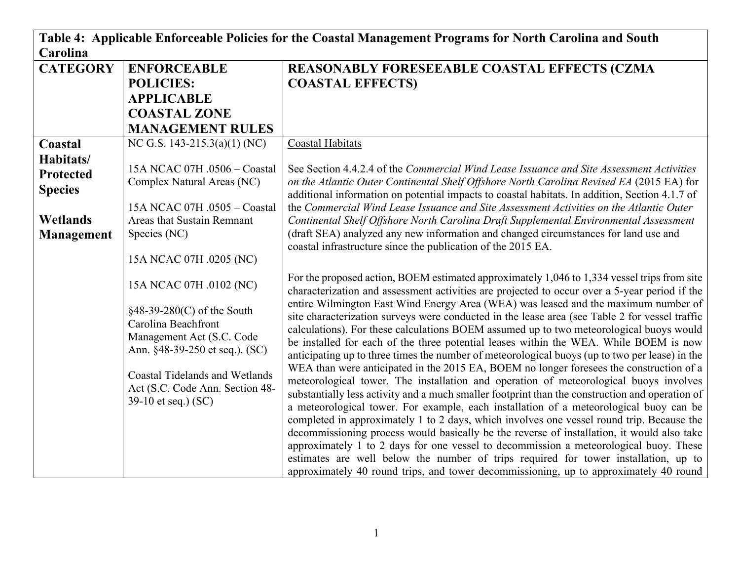| Table 4: Applicable Enforceable Policies for the Coastal Management Programs for North Carolina and South |                                                                                                                                                                                                                                                  |                                                                                                                                                                                                                                                                                                                                                                                                                                                                                                                                                                                                                                                                                                                                                                                                                                                                                                                                                                                                                                                                                                                                                                                                                                                                                                                                                                                                                                                                                                                                 |  |
|-----------------------------------------------------------------------------------------------------------|--------------------------------------------------------------------------------------------------------------------------------------------------------------------------------------------------------------------------------------------------|---------------------------------------------------------------------------------------------------------------------------------------------------------------------------------------------------------------------------------------------------------------------------------------------------------------------------------------------------------------------------------------------------------------------------------------------------------------------------------------------------------------------------------------------------------------------------------------------------------------------------------------------------------------------------------------------------------------------------------------------------------------------------------------------------------------------------------------------------------------------------------------------------------------------------------------------------------------------------------------------------------------------------------------------------------------------------------------------------------------------------------------------------------------------------------------------------------------------------------------------------------------------------------------------------------------------------------------------------------------------------------------------------------------------------------------------------------------------------------------------------------------------------------|--|
| Carolina                                                                                                  |                                                                                                                                                                                                                                                  |                                                                                                                                                                                                                                                                                                                                                                                                                                                                                                                                                                                                                                                                                                                                                                                                                                                                                                                                                                                                                                                                                                                                                                                                                                                                                                                                                                                                                                                                                                                                 |  |
| <b>CATEGORY</b>                                                                                           | <b>ENFORCEABLE</b>                                                                                                                                                                                                                               | REASONABLY FORESEEABLE COASTAL EFFECTS (CZMA                                                                                                                                                                                                                                                                                                                                                                                                                                                                                                                                                                                                                                                                                                                                                                                                                                                                                                                                                                                                                                                                                                                                                                                                                                                                                                                                                                                                                                                                                    |  |
|                                                                                                           | <b>POLICIES:</b>                                                                                                                                                                                                                                 | <b>COASTAL EFFECTS)</b>                                                                                                                                                                                                                                                                                                                                                                                                                                                                                                                                                                                                                                                                                                                                                                                                                                                                                                                                                                                                                                                                                                                                                                                                                                                                                                                                                                                                                                                                                                         |  |
|                                                                                                           | <b>APPLICABLE</b>                                                                                                                                                                                                                                |                                                                                                                                                                                                                                                                                                                                                                                                                                                                                                                                                                                                                                                                                                                                                                                                                                                                                                                                                                                                                                                                                                                                                                                                                                                                                                                                                                                                                                                                                                                                 |  |
|                                                                                                           | <b>COASTAL ZONE</b>                                                                                                                                                                                                                              |                                                                                                                                                                                                                                                                                                                                                                                                                                                                                                                                                                                                                                                                                                                                                                                                                                                                                                                                                                                                                                                                                                                                                                                                                                                                                                                                                                                                                                                                                                                                 |  |
|                                                                                                           | <b>MANAGEMENT RULES</b>                                                                                                                                                                                                                          |                                                                                                                                                                                                                                                                                                                                                                                                                                                                                                                                                                                                                                                                                                                                                                                                                                                                                                                                                                                                                                                                                                                                                                                                                                                                                                                                                                                                                                                                                                                                 |  |
| Coastal                                                                                                   | NC G.S. 143-215.3(a)(1) (NC)                                                                                                                                                                                                                     | Coastal Habitats                                                                                                                                                                                                                                                                                                                                                                                                                                                                                                                                                                                                                                                                                                                                                                                                                                                                                                                                                                                                                                                                                                                                                                                                                                                                                                                                                                                                                                                                                                                |  |
| Habitats/<br><b>Protected</b><br><b>Species</b><br><b>Wetlands</b><br><b>Management</b>                   | 15A NCAC 07H .0506 - Coastal<br>Complex Natural Areas (NC)<br>15A NCAC 07H .0505 - Coastal<br>Areas that Sustain Remnant<br>Species (NC)<br>15A NCAC 07H .0205 (NC)                                                                              | See Section 4.4.2.4 of the Commercial Wind Lease Issuance and Site Assessment Activities<br>on the Atlantic Outer Continental Shelf Offshore North Carolina Revised EA (2015 EA) for<br>additional information on potential impacts to coastal habitats. In addition, Section 4.1.7 of<br>the Commercial Wind Lease Issuance and Site Assessment Activities on the Atlantic Outer<br>Continental Shelf Offshore North Carolina Draft Supplemental Environmental Assessment<br>(draft SEA) analyzed any new information and changed circumstances for land use and<br>coastal infrastructure since the publication of the 2015 EA.                                                                                                                                                                                                                                                                                                                                                                                                                                                                                                                                                                                                                                                                                                                                                                                                                                                                                               |  |
|                                                                                                           | 15A NCAC 07H .0102 (NC)<br>$§48-39-280(C)$ of the South<br>Carolina Beachfront<br>Management Act (S.C. Code<br>Ann. §48-39-250 et seq.). (SC)<br><b>Coastal Tidelands and Wetlands</b><br>Act (S.C. Code Ann. Section 48-<br>39-10 et seq.) (SC) | For the proposed action, BOEM estimated approximately 1,046 to 1,334 vessel trips from site<br>characterization and assessment activities are projected to occur over a 5-year period if the<br>entire Wilmington East Wind Energy Area (WEA) was leased and the maximum number of<br>site characterization surveys were conducted in the lease area (see Table 2 for vessel traffic<br>calculations). For these calculations BOEM assumed up to two meteorological buoys would<br>be installed for each of the three potential leases within the WEA. While BOEM is now<br>anticipating up to three times the number of meteorological buoys (up to two per lease) in the<br>WEA than were anticipated in the 2015 EA, BOEM no longer foresees the construction of a<br>meteorological tower. The installation and operation of meteorological buoys involves<br>substantially less activity and a much smaller footprint than the construction and operation of<br>a meteorological tower. For example, each installation of a meteorological buoy can be<br>completed in approximately 1 to 2 days, which involves one vessel round trip. Because the<br>decommissioning process would basically be the reverse of installation, it would also take<br>approximately 1 to 2 days for one vessel to decommission a meteorological buoy. These<br>estimates are well below the number of trips required for tower installation, up to<br>approximately 40 round trips, and tower decommissioning, up to approximately 40 round |  |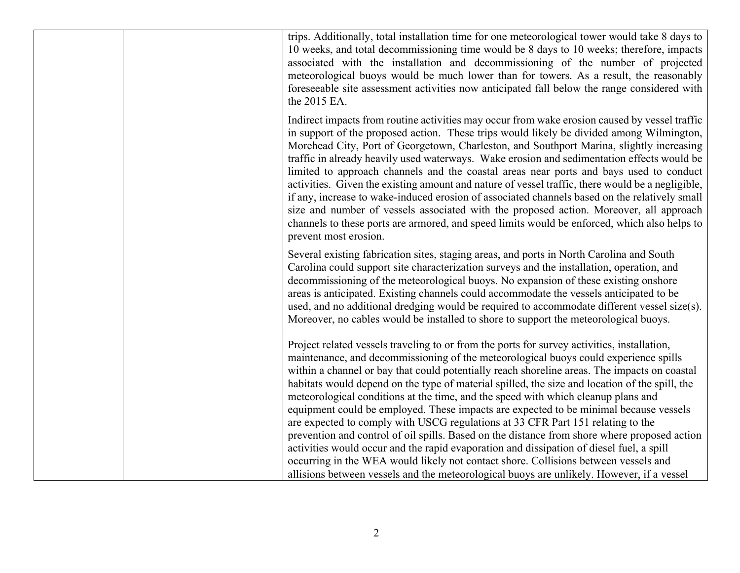trips. Additionally, total installation time for one meteorological tower would take 8 days to 10 weeks, and total decommissioning time would be 8 days to 10 weeks; therefore, impacts associated with the installation and decommissioning of the number of projected meteorological buoys would be much lower than for towers. As a result, the reasonably foreseeable site assessment activities now anticipated fall below the range considered with the 2015 EA. Indirect impacts from routine activities may occur from wake erosion caused by vessel traffic in support of the proposed action. These trips would likely be divided among Wilmington, Morehead City, Port of Georgetown, Charleston, and Southport Marina, slightly increasing traffic in already heavily used waterways. Wake erosion and sedimentation effects would be limited to approach channels and the coastal areas near ports and bays used to conduct activities. Given the existing amount and nature of vessel traffic, there would be a negligible, if any, increase to wake-induced erosion of associated channels based on the relatively small size and number of vessels associated with the proposed action. Moreover, all approach channels to these ports are armored, and speed limits would be enforced, which also helps to prevent most erosion. Several existing fabrication sites, staging areas, and ports in North Carolina and South Carolina could support site characterization surveys and the installation, operation, and decommissioning of the meteorological buoys. No expansion of these existing onshore areas is anticipated. Existing channels could accommodate the vessels anticipated to be used, and no additional dredging would be required to accommodate different vessel size(s). Moreover, no cables would be installed to shore to support the meteorological buoys. Project related vessels traveling to or from the ports for survey activities, installation, maintenance, and decommissioning of the meteorological buoys could experience spills within a channel or bay that could potentially reach shoreline areas. The impacts on coastal habitats would depend on the type of material spilled, the size and location of the spill, the meteorological conditions at the time, and the speed with which cleanup plans and equipment could be employed. These impacts are expected to be minimal because vessels are expected to comply with USCG regulations at 33 CFR Part 151 relating to the prevention and control of oil spills. Based on the distance from shore where proposed action activities would occur and the rapid evaporation and dissipation of diesel fuel, a spill occurring in the WEA would likely not contact shore. Collisions between vessels and allisions between vessels and the meteorological buoys are unlikely. However, if a vessel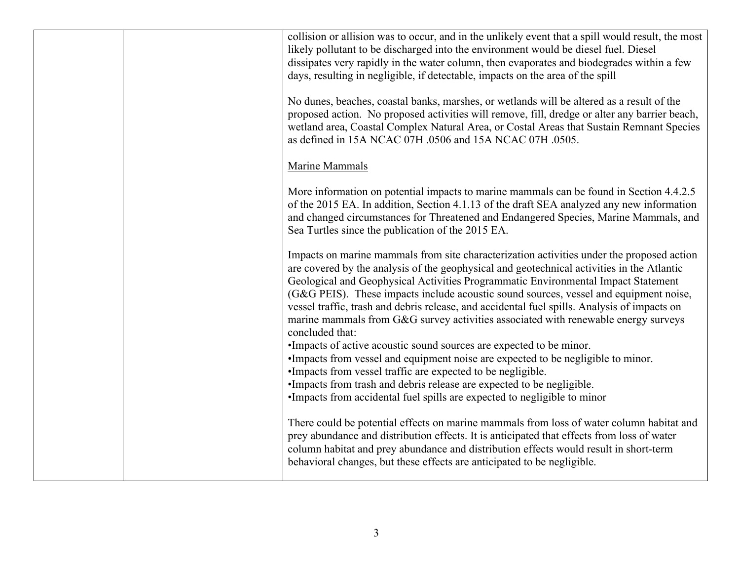| collision or allision was to occur, and in the unlikely event that a spill would result, the most<br>likely pollutant to be discharged into the environment would be diesel fuel. Diesel<br>dissipates very rapidly in the water column, then evaporates and biodegrades within a few<br>days, resulting in negligible, if detectable, impacts on the area of the spill                                                                                                                                                                                                                                                                                                                                                                                                                                                                                                           |
|-----------------------------------------------------------------------------------------------------------------------------------------------------------------------------------------------------------------------------------------------------------------------------------------------------------------------------------------------------------------------------------------------------------------------------------------------------------------------------------------------------------------------------------------------------------------------------------------------------------------------------------------------------------------------------------------------------------------------------------------------------------------------------------------------------------------------------------------------------------------------------------|
| No dunes, beaches, coastal banks, marshes, or wetlands will be altered as a result of the<br>proposed action. No proposed activities will remove, fill, dredge or alter any barrier beach,<br>wetland area, Coastal Complex Natural Area, or Costal Areas that Sustain Remnant Species<br>as defined in 15A NCAC 07H .0506 and 15A NCAC 07H .0505.                                                                                                                                                                                                                                                                                                                                                                                                                                                                                                                                |
| Marine Mammals                                                                                                                                                                                                                                                                                                                                                                                                                                                                                                                                                                                                                                                                                                                                                                                                                                                                    |
| More information on potential impacts to marine mammals can be found in Section 4.4.2.5<br>of the 2015 EA. In addition, Section 4.1.13 of the draft SEA analyzed any new information<br>and changed circumstances for Threatened and Endangered Species, Marine Mammals, and<br>Sea Turtles since the publication of the 2015 EA.                                                                                                                                                                                                                                                                                                                                                                                                                                                                                                                                                 |
| Impacts on marine mammals from site characterization activities under the proposed action<br>are covered by the analysis of the geophysical and geotechnical activities in the Atlantic<br>Geological and Geophysical Activities Programmatic Environmental Impact Statement<br>(G&G PEIS). These impacts include acoustic sound sources, vessel and equipment noise,<br>vessel traffic, trash and debris release, and accidental fuel spills. Analysis of impacts on<br>marine mammals from G&G survey activities associated with renewable energy surveys<br>concluded that:<br>•Impacts of active acoustic sound sources are expected to be minor.<br>•Impacts from vessel and equipment noise are expected to be negligible to minor.<br>•Impacts from vessel traffic are expected to be negligible.<br>•Impacts from trash and debris release are expected to be negligible. |
| •Impacts from accidental fuel spills are expected to negligible to minor<br>There could be potential effects on marine mammals from loss of water column habitat and<br>prey abundance and distribution effects. It is anticipated that effects from loss of water<br>column habitat and prey abundance and distribution effects would result in short-term<br>behavioral changes, but these effects are anticipated to be negligible.                                                                                                                                                                                                                                                                                                                                                                                                                                            |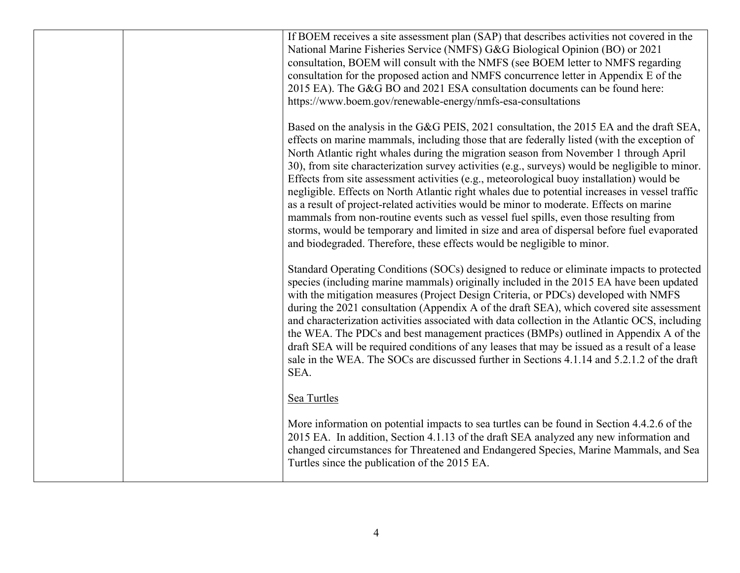| If BOEM receives a site assessment plan (SAP) that describes activities not covered in the<br>National Marine Fisheries Service (NMFS) G&G Biological Opinion (BO) or 2021<br>consultation, BOEM will consult with the NMFS (see BOEM letter to NMFS regarding<br>consultation for the proposed action and NMFS concurrence letter in Appendix E of the<br>2015 EA). The G&G BO and 2021 ESA consultation documents can be found here:<br>https://www.boem.gov/renewable-energy/nmfs-esa-consultations                                                                                                                                                                                                                                                                                                                                                                                                                                            |
|---------------------------------------------------------------------------------------------------------------------------------------------------------------------------------------------------------------------------------------------------------------------------------------------------------------------------------------------------------------------------------------------------------------------------------------------------------------------------------------------------------------------------------------------------------------------------------------------------------------------------------------------------------------------------------------------------------------------------------------------------------------------------------------------------------------------------------------------------------------------------------------------------------------------------------------------------|
| Based on the analysis in the G&G PEIS, 2021 consultation, the 2015 EA and the draft SEA,<br>effects on marine mammals, including those that are federally listed (with the exception of<br>North Atlantic right whales during the migration season from November 1 through April<br>30), from site characterization survey activities (e.g., surveys) would be negligible to minor.<br>Effects from site assessment activities (e.g., meteorological buoy installation) would be<br>negligible. Effects on North Atlantic right whales due to potential increases in vessel traffic<br>as a result of project-related activities would be minor to moderate. Effects on marine<br>mammals from non-routine events such as vessel fuel spills, even those resulting from<br>storms, would be temporary and limited in size and area of dispersal before fuel evaporated<br>and biodegraded. Therefore, these effects would be negligible to minor. |
| Standard Operating Conditions (SOCs) designed to reduce or eliminate impacts to protected<br>species (including marine mammals) originally included in the 2015 EA have been updated<br>with the mitigation measures (Project Design Criteria, or PDCs) developed with NMFS<br>during the 2021 consultation (Appendix A of the draft SEA), which covered site assessment<br>and characterization activities associated with data collection in the Atlantic OCS, including<br>the WEA. The PDCs and best management practices (BMPs) outlined in Appendix A of the<br>draft SEA will be required conditions of any leases that may be issued as a result of a lease<br>sale in the WEA. The SOCs are discussed further in Sections 4.1.14 and 5.2.1.2 of the draft<br>SEA.                                                                                                                                                                        |
| Sea Turtles                                                                                                                                                                                                                                                                                                                                                                                                                                                                                                                                                                                                                                                                                                                                                                                                                                                                                                                                       |
| More information on potential impacts to sea turtles can be found in Section 4.4.2.6 of the<br>2015 EA. In addition, Section 4.1.13 of the draft SEA analyzed any new information and<br>changed circumstances for Threatened and Endangered Species, Marine Mammals, and Sea<br>Turtles since the publication of the 2015 EA.                                                                                                                                                                                                                                                                                                                                                                                                                                                                                                                                                                                                                    |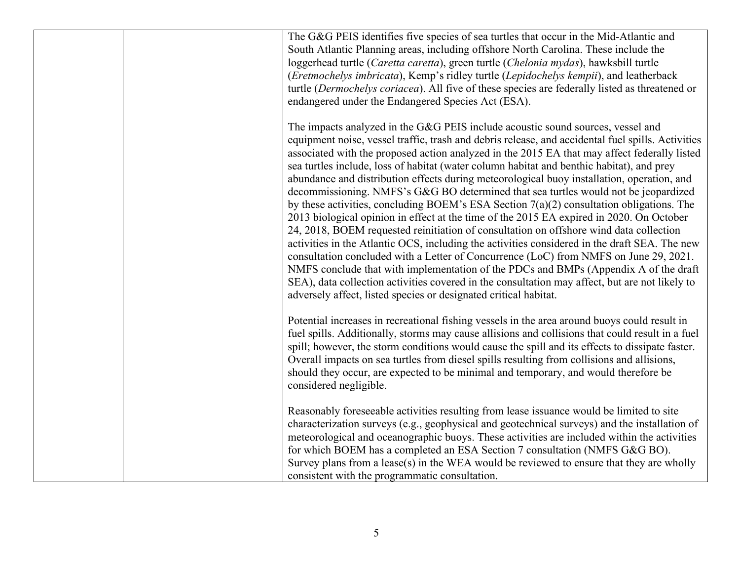| The G&G PEIS identifies five species of sea turtles that occur in the Mid-Atlantic and<br>South Atlantic Planning areas, including offshore North Carolina. These include the<br>loggerhead turtle (Caretta caretta), green turtle (Chelonia mydas), hawksbill turtle<br>(Eretmochelys imbricata), Kemp's ridley turtle (Lepidochelys kempii), and leatherback<br>turtle (Dermochelys coriacea). All five of these species are federally listed as threatened or<br>endangered under the Endangered Species Act (ESA).                                                                                                                                                                                                                                                                                                                                                                                                                                                                                                                                                                                                                                                                                                                                                                                             |
|--------------------------------------------------------------------------------------------------------------------------------------------------------------------------------------------------------------------------------------------------------------------------------------------------------------------------------------------------------------------------------------------------------------------------------------------------------------------------------------------------------------------------------------------------------------------------------------------------------------------------------------------------------------------------------------------------------------------------------------------------------------------------------------------------------------------------------------------------------------------------------------------------------------------------------------------------------------------------------------------------------------------------------------------------------------------------------------------------------------------------------------------------------------------------------------------------------------------------------------------------------------------------------------------------------------------|
| The impacts analyzed in the G&G PEIS include acoustic sound sources, vessel and<br>equipment noise, vessel traffic, trash and debris release, and accidental fuel spills. Activities<br>associated with the proposed action analyzed in the 2015 EA that may affect federally listed<br>sea turtles include, loss of habitat (water column habitat and benthic habitat), and prey<br>abundance and distribution effects during meteorological buoy installation, operation, and<br>decommissioning. NMFS's G&G BO determined that sea turtles would not be jeopardized<br>by these activities, concluding BOEM's ESA Section $7(a)(2)$ consultation obligations. The<br>2013 biological opinion in effect at the time of the 2015 EA expired in 2020. On October<br>24, 2018, BOEM requested reinitiation of consultation on offshore wind data collection<br>activities in the Atlantic OCS, including the activities considered in the draft SEA. The new<br>consultation concluded with a Letter of Concurrence (LoC) from NMFS on June 29, 2021.<br>NMFS conclude that with implementation of the PDCs and BMPs (Appendix A of the draft<br>SEA), data collection activities covered in the consultation may affect, but are not likely to<br>adversely affect, listed species or designated critical habitat. |
| Potential increases in recreational fishing vessels in the area around buoys could result in<br>fuel spills. Additionally, storms may cause allisions and collisions that could result in a fuel<br>spill; however, the storm conditions would cause the spill and its effects to dissipate faster.<br>Overall impacts on sea turtles from diesel spills resulting from collisions and allisions,<br>should they occur, are expected to be minimal and temporary, and would therefore be<br>considered negligible.                                                                                                                                                                                                                                                                                                                                                                                                                                                                                                                                                                                                                                                                                                                                                                                                 |
| Reasonably foreseeable activities resulting from lease issuance would be limited to site<br>characterization surveys (e.g., geophysical and geotechnical surveys) and the installation of<br>meteorological and oceanographic buoys. These activities are included within the activities<br>for which BOEM has a completed an ESA Section 7 consultation (NMFS G&G BO).<br>Survey plans from a lease(s) in the WEA would be reviewed to ensure that they are wholly<br>consistent with the programmatic consultation.                                                                                                                                                                                                                                                                                                                                                                                                                                                                                                                                                                                                                                                                                                                                                                                              |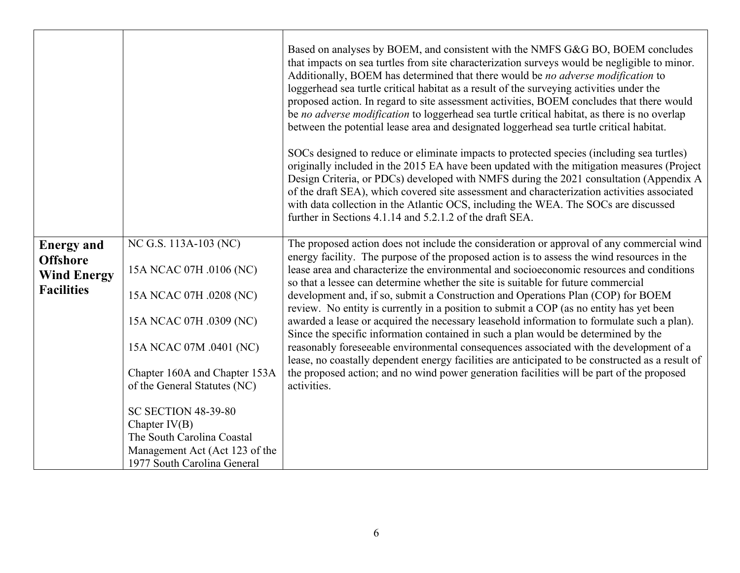|                                                                                 |                                                                                                                                                                                                    | Based on analyses by BOEM, and consistent with the NMFS G&G BO, BOEM concludes<br>that impacts on sea turtles from site characterization surveys would be negligible to minor.<br>Additionally, BOEM has determined that there would be no adverse modification to<br>loggerhead sea turtle critical habitat as a result of the surveying activities under the<br>proposed action. In regard to site assessment activities, BOEM concludes that there would<br>be no adverse modification to loggerhead sea turtle critical habitat, as there is no overlap<br>between the potential lease area and designated loggerhead sea turtle critical habitat.<br>SOCs designed to reduce or eliminate impacts to protected species (including sea turtles)<br>originally included in the 2015 EA have been updated with the mitigation measures (Project<br>Design Criteria, or PDCs) developed with NMFS during the 2021 consultation (Appendix A<br>of the draft SEA), which covered site assessment and characterization activities associated<br>with data collection in the Atlantic OCS, including the WEA. The SOCs are discussed<br>further in Sections 4.1.14 and 5.2.1.2 of the draft SEA. |
|---------------------------------------------------------------------------------|----------------------------------------------------------------------------------------------------------------------------------------------------------------------------------------------------|-----------------------------------------------------------------------------------------------------------------------------------------------------------------------------------------------------------------------------------------------------------------------------------------------------------------------------------------------------------------------------------------------------------------------------------------------------------------------------------------------------------------------------------------------------------------------------------------------------------------------------------------------------------------------------------------------------------------------------------------------------------------------------------------------------------------------------------------------------------------------------------------------------------------------------------------------------------------------------------------------------------------------------------------------------------------------------------------------------------------------------------------------------------------------------------------------|
| <b>Energy and</b><br><b>Offshore</b><br><b>Wind Energy</b><br><b>Facilities</b> | NC G.S. 113A-103 (NC)<br>15A NCAC 07H .0106 (NC)<br>15A NCAC 07H .0208 (NC)<br>15A NCAC 07H .0309 (NC)<br>15A NCAC 07M .0401 (NC)<br>Chapter 160A and Chapter 153A<br>of the General Statutes (NC) | The proposed action does not include the consideration or approval of any commercial wind<br>energy facility. The purpose of the proposed action is to assess the wind resources in the<br>lease area and characterize the environmental and socioeconomic resources and conditions<br>so that a lessee can determine whether the site is suitable for future commercial<br>development and, if so, submit a Construction and Operations Plan (COP) for BOEM<br>review. No entity is currently in a position to submit a COP (as no entity has yet been<br>awarded a lease or acquired the necessary leasehold information to formulate such a plan).<br>Since the specific information contained in such a plan would be determined by the<br>reasonably foreseeable environmental consequences associated with the development of a<br>lease, no coastally dependent energy facilities are anticipated to be constructed as a result of<br>the proposed action; and no wind power generation facilities will be part of the proposed<br>activities.                                                                                                                                         |
|                                                                                 | <b>SC SECTION 48-39-80</b><br>Chapter $IV(B)$<br>The South Carolina Coastal<br>Management Act (Act 123 of the<br>1977 South Carolina General                                                       |                                                                                                                                                                                                                                                                                                                                                                                                                                                                                                                                                                                                                                                                                                                                                                                                                                                                                                                                                                                                                                                                                                                                                                                               |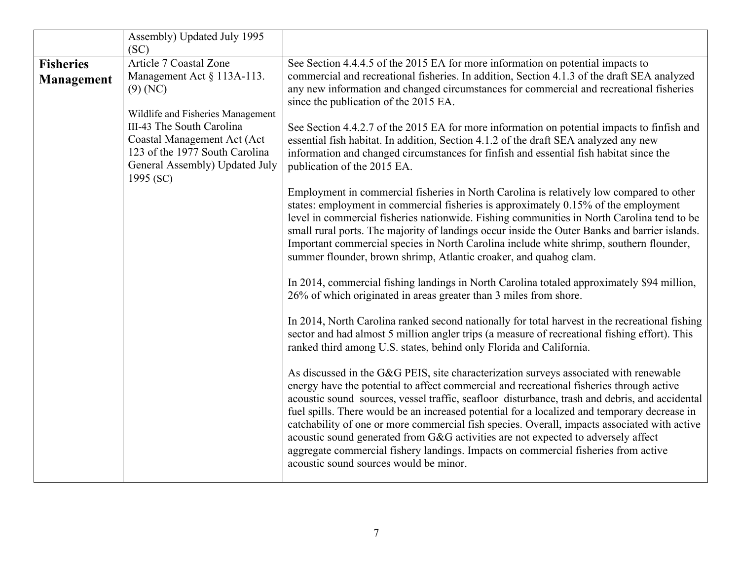|                   | Assembly) Updated July 1995                                                                                                                                                    |                                                                                                                                                                                                                                                                                                                                                                                                                                                                                                                                                                                                                                                                                                          |
|-------------------|--------------------------------------------------------------------------------------------------------------------------------------------------------------------------------|----------------------------------------------------------------------------------------------------------------------------------------------------------------------------------------------------------------------------------------------------------------------------------------------------------------------------------------------------------------------------------------------------------------------------------------------------------------------------------------------------------------------------------------------------------------------------------------------------------------------------------------------------------------------------------------------------------|
|                   | (SC)                                                                                                                                                                           |                                                                                                                                                                                                                                                                                                                                                                                                                                                                                                                                                                                                                                                                                                          |
| <b>Fisheries</b>  | <b>Article 7 Coastal Zone</b>                                                                                                                                                  | See Section 4.4.4.5 of the 2015 EA for more information on potential impacts to                                                                                                                                                                                                                                                                                                                                                                                                                                                                                                                                                                                                                          |
| <b>Management</b> | Management Act § 113A-113.<br>$(9)$ (NC)                                                                                                                                       | commercial and recreational fisheries. In addition, Section 4.1.3 of the draft SEA analyzed<br>any new information and changed circumstances for commercial and recreational fisheries<br>since the publication of the 2015 EA.                                                                                                                                                                                                                                                                                                                                                                                                                                                                          |
|                   | Wildlife and Fisheries Management<br>III-43 The South Carolina<br>Coastal Management Act (Act<br>123 of the 1977 South Carolina<br>General Assembly) Updated July<br>1995 (SC) | See Section 4.4.2.7 of the 2015 EA for more information on potential impacts to finfish and<br>essential fish habitat. In addition, Section 4.1.2 of the draft SEA analyzed any new<br>information and changed circumstances for finfish and essential fish habitat since the<br>publication of the 2015 EA.                                                                                                                                                                                                                                                                                                                                                                                             |
|                   |                                                                                                                                                                                | Employment in commercial fisheries in North Carolina is relatively low compared to other<br>states: employment in commercial fisheries is approximately 0.15% of the employment<br>level in commercial fisheries nationwide. Fishing communities in North Carolina tend to be<br>small rural ports. The majority of landings occur inside the Outer Banks and barrier islands.<br>Important commercial species in North Carolina include white shrimp, southern flounder,<br>summer flounder, brown shrimp, Atlantic croaker, and quahog clam.                                                                                                                                                           |
|                   |                                                                                                                                                                                | In 2014, commercial fishing landings in North Carolina totaled approximately \$94 million,<br>26% of which originated in areas greater than 3 miles from shore.                                                                                                                                                                                                                                                                                                                                                                                                                                                                                                                                          |
|                   |                                                                                                                                                                                | In 2014, North Carolina ranked second nationally for total harvest in the recreational fishing<br>sector and had almost 5 million angler trips (a measure of recreational fishing effort). This<br>ranked third among U.S. states, behind only Florida and California.                                                                                                                                                                                                                                                                                                                                                                                                                                   |
|                   |                                                                                                                                                                                | As discussed in the G&G PEIS, site characterization surveys associated with renewable<br>energy have the potential to affect commercial and recreational fisheries through active<br>acoustic sound sources, vessel traffic, seafloor disturbance, trash and debris, and accidental<br>fuel spills. There would be an increased potential for a localized and temporary decrease in<br>catchability of one or more commercial fish species. Overall, impacts associated with active<br>acoustic sound generated from G&G activities are not expected to adversely affect<br>aggregate commercial fishery landings. Impacts on commercial fisheries from active<br>acoustic sound sources would be minor. |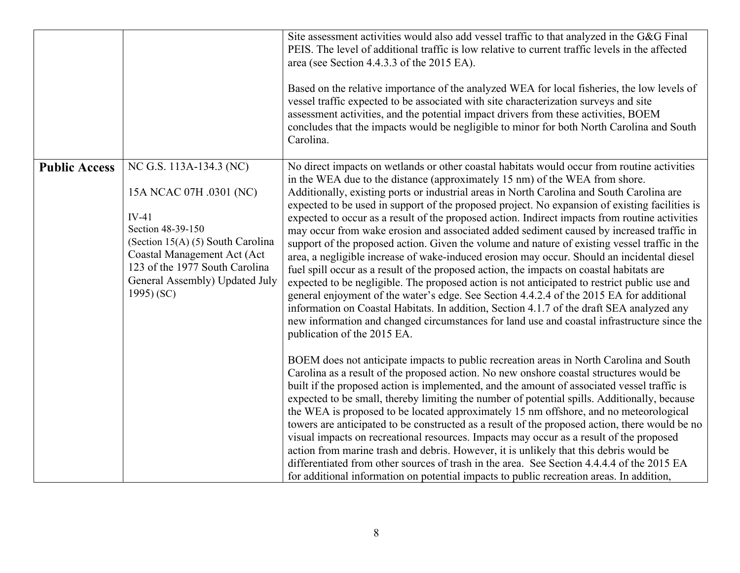|                      |                                                                                                                                                                                                                                           | Site assessment activities would also add vessel traffic to that analyzed in the G&G Final<br>PEIS. The level of additional traffic is low relative to current traffic levels in the affected<br>area (see Section 4.4.3.3 of the 2015 EA).<br>Based on the relative importance of the analyzed WEA for local fisheries, the low levels of<br>vessel traffic expected to be associated with site characterization surveys and site<br>assessment activities, and the potential impact drivers from these activities, BOEM<br>concludes that the impacts would be negligible to minor for both North Carolina and South<br>Carolina.                                                                                                                                                                                                                                                                                                                                                                                                                                                                                                                                                                                                                                                       |
|----------------------|-------------------------------------------------------------------------------------------------------------------------------------------------------------------------------------------------------------------------------------------|-------------------------------------------------------------------------------------------------------------------------------------------------------------------------------------------------------------------------------------------------------------------------------------------------------------------------------------------------------------------------------------------------------------------------------------------------------------------------------------------------------------------------------------------------------------------------------------------------------------------------------------------------------------------------------------------------------------------------------------------------------------------------------------------------------------------------------------------------------------------------------------------------------------------------------------------------------------------------------------------------------------------------------------------------------------------------------------------------------------------------------------------------------------------------------------------------------------------------------------------------------------------------------------------|
| <b>Public Access</b> | NC G.S. 113A-134.3 (NC)<br>15A NCAC 07H .0301 (NC)<br>$IV-41$<br>Section 48-39-150<br>(Section 15(A) (5) South Carolina<br>Coastal Management Act (Act<br>123 of the 1977 South Carolina<br>General Assembly) Updated July<br>$1995$ (SC) | No direct impacts on wetlands or other coastal habitats would occur from routine activities<br>in the WEA due to the distance (approximately 15 nm) of the WEA from shore.<br>Additionally, existing ports or industrial areas in North Carolina and South Carolina are<br>expected to be used in support of the proposed project. No expansion of existing facilities is<br>expected to occur as a result of the proposed action. Indirect impacts from routine activities<br>may occur from wake erosion and associated added sediment caused by increased traffic in<br>support of the proposed action. Given the volume and nature of existing vessel traffic in the<br>area, a negligible increase of wake-induced erosion may occur. Should an incidental diesel<br>fuel spill occur as a result of the proposed action, the impacts on coastal habitats are<br>expected to be negligible. The proposed action is not anticipated to restrict public use and<br>general enjoyment of the water's edge. See Section 4.4.2.4 of the 2015 EA for additional<br>information on Coastal Habitats. In addition, Section 4.1.7 of the draft SEA analyzed any<br>new information and changed circumstances for land use and coastal infrastructure since the<br>publication of the 2015 EA. |
|                      |                                                                                                                                                                                                                                           | BOEM does not anticipate impacts to public recreation areas in North Carolina and South<br>Carolina as a result of the proposed action. No new onshore coastal structures would be<br>built if the proposed action is implemented, and the amount of associated vessel traffic is<br>expected to be small, thereby limiting the number of potential spills. Additionally, because<br>the WEA is proposed to be located approximately 15 nm offshore, and no meteorological<br>towers are anticipated to be constructed as a result of the proposed action, there would be no<br>visual impacts on recreational resources. Impacts may occur as a result of the proposed<br>action from marine trash and debris. However, it is unlikely that this debris would be<br>differentiated from other sources of trash in the area. See Section 4.4.4.4 of the 2015 EA<br>for additional information on potential impacts to public recreation areas. In addition,                                                                                                                                                                                                                                                                                                                               |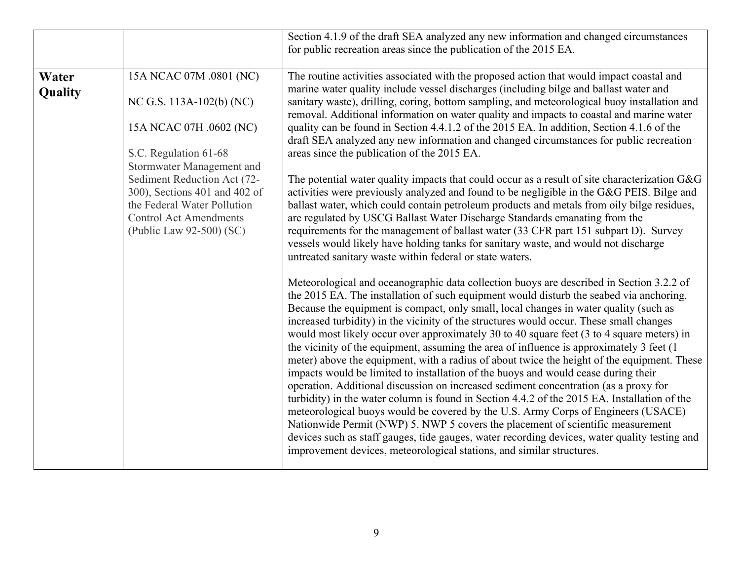|                  |                                                                                                                                                                                                                                                                                                  | Section 4.1.9 of the draft SEA analyzed any new information and changed circumstances<br>for public recreation areas since the publication of the 2015 EA.                                                                                                                                                                                                                                                                                                                                                                                                                                                                                                                                                                                                                                                                                                                                                                                                                                                                                                                                                                                                                                                                                                                                       |
|------------------|--------------------------------------------------------------------------------------------------------------------------------------------------------------------------------------------------------------------------------------------------------------------------------------------------|--------------------------------------------------------------------------------------------------------------------------------------------------------------------------------------------------------------------------------------------------------------------------------------------------------------------------------------------------------------------------------------------------------------------------------------------------------------------------------------------------------------------------------------------------------------------------------------------------------------------------------------------------------------------------------------------------------------------------------------------------------------------------------------------------------------------------------------------------------------------------------------------------------------------------------------------------------------------------------------------------------------------------------------------------------------------------------------------------------------------------------------------------------------------------------------------------------------------------------------------------------------------------------------------------|
| Water<br>Quality | 15A NCAC 07M .0801 (NC)<br>NC G.S. 113A-102(b) (NC)<br>15A NCAC 07H .0602 (NC)<br>S.C. Regulation 61-68<br>Stormwater Management and<br>Sediment Reduction Act (72-<br>300), Sections 401 and 402 of<br>the Federal Water Pollution<br><b>Control Act Amendments</b><br>(Public Law 92-500) (SC) | The routine activities associated with the proposed action that would impact coastal and<br>marine water quality include vessel discharges (including bilge and ballast water and<br>sanitary waste), drilling, coring, bottom sampling, and meteorological buoy installation and<br>removal. Additional information on water quality and impacts to coastal and marine water<br>quality can be found in Section 4.4.1.2 of the 2015 EA. In addition, Section 4.1.6 of the<br>draft SEA analyzed any new information and changed circumstances for public recreation<br>areas since the publication of the 2015 EA.<br>The potential water quality impacts that could occur as a result of site characterization $G & G$<br>activities were previously analyzed and found to be negligible in the G&G PEIS. Bilge and<br>ballast water, which could contain petroleum products and metals from oily bilge residues,<br>are regulated by USCG Ballast Water Discharge Standards emanating from the<br>requirements for the management of ballast water (33 CFR part 151 subpart D). Survey<br>vessels would likely have holding tanks for sanitary waste, and would not discharge<br>untreated sanitary waste within federal or state waters.                                                     |
|                  |                                                                                                                                                                                                                                                                                                  | Meteorological and oceanographic data collection buoys are described in Section 3.2.2 of<br>the 2015 EA. The installation of such equipment would disturb the seabed via anchoring.<br>Because the equipment is compact, only small, local changes in water quality (such as<br>increased turbidity) in the vicinity of the structures would occur. These small changes<br>would most likely occur over approximately 30 to 40 square feet (3 to 4 square meters) in<br>the vicinity of the equipment, assuming the area of influence is approximately 3 feet (1)<br>meter) above the equipment, with a radius of about twice the height of the equipment. These<br>impacts would be limited to installation of the buoys and would cease during their<br>operation. Additional discussion on increased sediment concentration (as a proxy for<br>turbidity) in the water column is found in Section 4.4.2 of the 2015 EA. Installation of the<br>meteorological buoys would be covered by the U.S. Army Corps of Engineers (USACE)<br>Nationwide Permit (NWP) 5. NWP 5 covers the placement of scientific measurement<br>devices such as staff gauges, tide gauges, water recording devices, water quality testing and<br>improvement devices, meteorological stations, and similar structures. |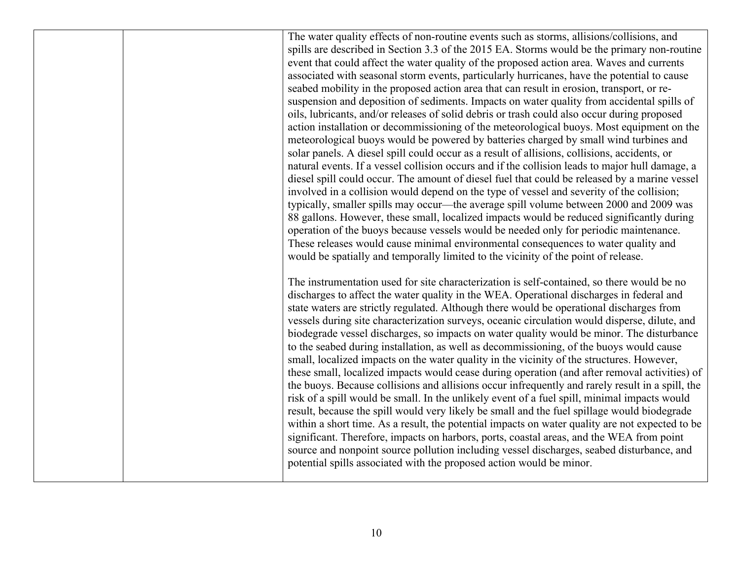The water quality effects of non-routine events such as storms, allisions/collisions, and spills are described in Section 3.3 of the 2015 EA. Storms would be the primary non-routine event that could affect the water quality of the proposed action area. Waves and currents associated with seasonal storm events, particularly hurricanes, have the potential to cause seabed mobility in the proposed action area that can result in erosion, transport, or resuspension and deposition of sediments. Impacts on water quality from accidental spills of oils, lubricants, and/or releases of solid debris or trash could also occur during proposed action installation or decommissioning of the meteorological buoys. Most equipment on the meteorological buoys would be powered by batteries charged by small wind turbines and solar panels. A diesel spill could occur as a result of allisions, collisions, accidents, or natural events. If a vessel collision occurs and if the collision leads to major hull damage, a diesel spill could occur. The amount of diesel fuel that could be released by a marine vessel involved in a collision would depend on the type of vessel and severity of the collision; typically, smaller spills may occur—the average spill volume between 2000 and 2009 was 88 gallons. However, these small, localized impacts would be reduced significantly during operation of the buoys because vessels would be needed only for periodic maintenance. These releases would cause minimal environmental consequences to water quality and would be spatially and temporally limited to the vicinity of the point of release.

The instrumentation used for site characterization is self-contained, so there would be no discharges to affect the water quality in the WEA. Operational discharges in federal and state waters are strictly regulated. Although there would be operational discharges from vessels during site characterization surveys, oceanic circulation would disperse, dilute, and biodegrade vessel discharges, so impacts on water quality would be minor. The disturbance to the seabed during installation, as well as decommissioning, of the buoys would cause small, localized impacts on the water quality in the vicinity of the structures. However, these small, localized impacts would cease during operation (and after removal activities) of the buoys. Because collisions and allisions occur infrequently and rarely result in a spill, the risk of a spill would be small. In the unlikely event of a fuel spill, minimal impacts would result, because the spill would very likely be small and the fuel spillage would biodegrade within a short time. As a result, the potential impacts on water quality are not expected to be significant. Therefore, impacts on harbors, ports, coastal areas, and the WEA from point source and nonpoint source pollution including vessel discharges, seabed disturbance, and potential spills associated with the proposed action would be minor.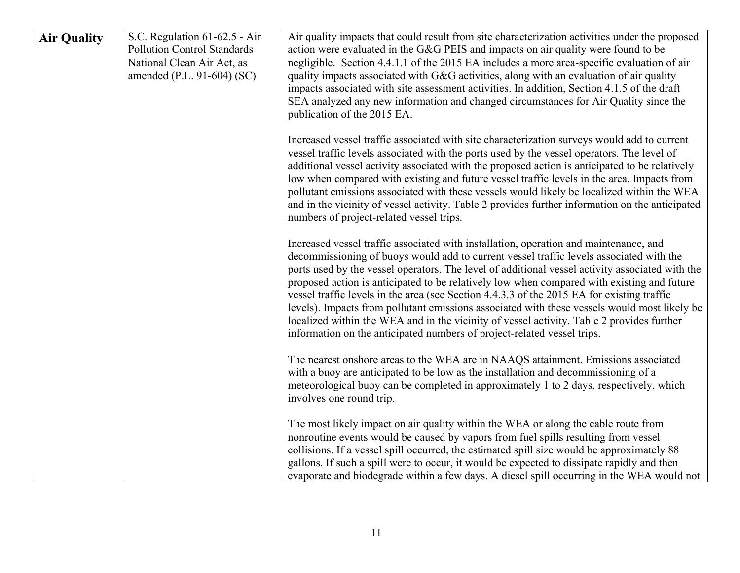| <b>Air Quality</b> | S.C. Regulation 61-62.5 - Air<br><b>Pollution Control Standards</b><br>National Clean Air Act, as<br>amended (P.L. 91-604) (SC) | Air quality impacts that could result from site characterization activities under the proposed<br>action were evaluated in the G&G PEIS and impacts on air quality were found to be<br>negligible. Section 4.4.1.1 of the 2015 EA includes a more area-specific evaluation of air<br>quality impacts associated with G&G activities, along with an evaluation of air quality<br>impacts associated with site assessment activities. In addition, Section 4.1.5 of the draft<br>SEA analyzed any new information and changed circumstances for Air Quality since the<br>publication of the 2015 EA.                                                                                                                                                      |
|--------------------|---------------------------------------------------------------------------------------------------------------------------------|---------------------------------------------------------------------------------------------------------------------------------------------------------------------------------------------------------------------------------------------------------------------------------------------------------------------------------------------------------------------------------------------------------------------------------------------------------------------------------------------------------------------------------------------------------------------------------------------------------------------------------------------------------------------------------------------------------------------------------------------------------|
|                    |                                                                                                                                 | Increased vessel traffic associated with site characterization surveys would add to current<br>vessel traffic levels associated with the ports used by the vessel operators. The level of<br>additional vessel activity associated with the proposed action is anticipated to be relatively<br>low when compared with existing and future vessel traffic levels in the area. Impacts from<br>pollutant emissions associated with these vessels would likely be localized within the WEA<br>and in the vicinity of vessel activity. Table 2 provides further information on the anticipated<br>numbers of project-related vessel trips.                                                                                                                  |
|                    |                                                                                                                                 | Increased vessel traffic associated with installation, operation and maintenance, and<br>decommissioning of buoys would add to current vessel traffic levels associated with the<br>ports used by the vessel operators. The level of additional vessel activity associated with the<br>proposed action is anticipated to be relatively low when compared with existing and future<br>vessel traffic levels in the area (see Section 4.4.3.3 of the 2015 EA for existing traffic<br>levels). Impacts from pollutant emissions associated with these vessels would most likely be<br>localized within the WEA and in the vicinity of vessel activity. Table 2 provides further<br>information on the anticipated numbers of project-related vessel trips. |
|                    |                                                                                                                                 | The nearest onshore areas to the WEA are in NAAQS attainment. Emissions associated<br>with a buoy are anticipated to be low as the installation and decommissioning of a<br>meteorological buoy can be completed in approximately 1 to 2 days, respectively, which<br>involves one round trip.                                                                                                                                                                                                                                                                                                                                                                                                                                                          |
|                    |                                                                                                                                 | The most likely impact on air quality within the WEA or along the cable route from<br>nonroutine events would be caused by vapors from fuel spills resulting from vessel<br>collisions. If a vessel spill occurred, the estimated spill size would be approximately 88<br>gallons. If such a spill were to occur, it would be expected to dissipate rapidly and then<br>evaporate and biodegrade within a few days. A diesel spill occurring in the WEA would not                                                                                                                                                                                                                                                                                       |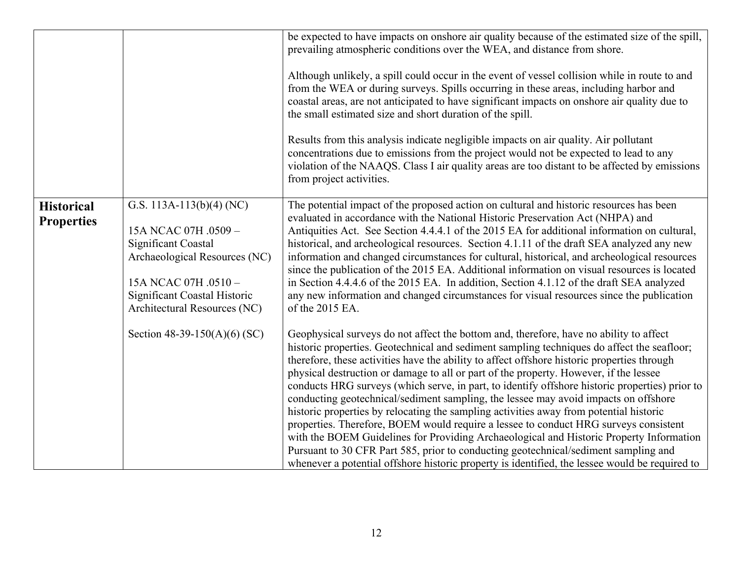|                                        |                                                                                                                                                                                                  | be expected to have impacts on onshore air quality because of the estimated size of the spill,<br>prevailing atmospheric conditions over the WEA, and distance from shore.<br>Although unlikely, a spill could occur in the event of vessel collision while in route to and<br>from the WEA or during surveys. Spills occurring in these areas, including harbor and<br>coastal areas, are not anticipated to have significant impacts on onshore air quality due to<br>the small estimated size and short duration of the spill.<br>Results from this analysis indicate negligible impacts on air quality. Air pollutant<br>concentrations due to emissions from the project would not be expected to lead to any<br>violation of the NAAQS. Class I air quality areas are too distant to be affected by emissions<br>from project activities.                                                                                                                                                                                             |
|----------------------------------------|--------------------------------------------------------------------------------------------------------------------------------------------------------------------------------------------------|---------------------------------------------------------------------------------------------------------------------------------------------------------------------------------------------------------------------------------------------------------------------------------------------------------------------------------------------------------------------------------------------------------------------------------------------------------------------------------------------------------------------------------------------------------------------------------------------------------------------------------------------------------------------------------------------------------------------------------------------------------------------------------------------------------------------------------------------------------------------------------------------------------------------------------------------------------------------------------------------------------------------------------------------|
| <b>Historical</b><br><b>Properties</b> | G.S. 113A-113(b)(4) (NC)<br>15A NCAC 07H .0509 -<br>Significant Coastal<br>Archaeological Resources (NC)<br>15A NCAC 07H .0510 -<br>Significant Coastal Historic<br>Architectural Resources (NC) | The potential impact of the proposed action on cultural and historic resources has been<br>evaluated in accordance with the National Historic Preservation Act (NHPA) and<br>Antiquities Act. See Section 4.4.4.1 of the 2015 EA for additional information on cultural,<br>historical, and archeological resources. Section 4.1.11 of the draft SEA analyzed any new<br>information and changed circumstances for cultural, historical, and archeological resources<br>since the publication of the 2015 EA. Additional information on visual resources is located<br>in Section 4.4.4.6 of the 2015 EA. In addition, Section 4.1.12 of the draft SEA analyzed<br>any new information and changed circumstances for visual resources since the publication<br>of the 2015 EA.                                                                                                                                                                                                                                                              |
|                                        | Section 48-39-150(A)(6) (SC)                                                                                                                                                                     | Geophysical surveys do not affect the bottom and, therefore, have no ability to affect<br>historic properties. Geotechnical and sediment sampling techniques do affect the seafloor;<br>therefore, these activities have the ability to affect offshore historic properties through<br>physical destruction or damage to all or part of the property. However, if the lessee<br>conducts HRG surveys (which serve, in part, to identify offshore historic properties) prior to<br>conducting geotechnical/sediment sampling, the lessee may avoid impacts on offshore<br>historic properties by relocating the sampling activities away from potential historic<br>properties. Therefore, BOEM would require a lessee to conduct HRG surveys consistent<br>with the BOEM Guidelines for Providing Archaeological and Historic Property Information<br>Pursuant to 30 CFR Part 585, prior to conducting geotechnical/sediment sampling and<br>whenever a potential offshore historic property is identified, the lessee would be required to |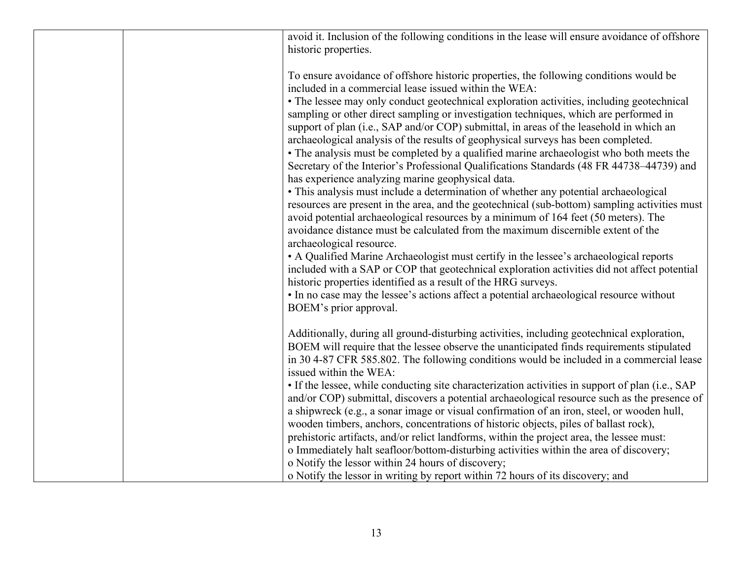|  | avoid it. Inclusion of the following conditions in the lease will ensure avoidance of offshore<br>historic properties.                                                                                                                                                                                                                                                                                                                                                                                                                                                                                                                                                                                                                                                                                                                                                                                                                                                                                                                                                                                                                                                                                                                                                                                                                                                                                                                                                                                                                              |
|--|-----------------------------------------------------------------------------------------------------------------------------------------------------------------------------------------------------------------------------------------------------------------------------------------------------------------------------------------------------------------------------------------------------------------------------------------------------------------------------------------------------------------------------------------------------------------------------------------------------------------------------------------------------------------------------------------------------------------------------------------------------------------------------------------------------------------------------------------------------------------------------------------------------------------------------------------------------------------------------------------------------------------------------------------------------------------------------------------------------------------------------------------------------------------------------------------------------------------------------------------------------------------------------------------------------------------------------------------------------------------------------------------------------------------------------------------------------------------------------------------------------------------------------------------------------|
|  | To ensure avoidance of offshore historic properties, the following conditions would be<br>included in a commercial lease issued within the WEA:<br>• The lessee may only conduct geotechnical exploration activities, including geotechnical<br>sampling or other direct sampling or investigation techniques, which are performed in<br>support of plan (i.e., SAP and/or COP) submittal, in areas of the leasehold in which an<br>archaeological analysis of the results of geophysical surveys has been completed.<br>• The analysis must be completed by a qualified marine archaeologist who both meets the<br>Secretary of the Interior's Professional Qualifications Standards (48 FR 44738-44739) and<br>has experience analyzing marine geophysical data.<br>• This analysis must include a determination of whether any potential archaeological<br>resources are present in the area, and the geotechnical (sub-bottom) sampling activities must<br>avoid potential archaeological resources by a minimum of 164 feet (50 meters). The<br>avoidance distance must be calculated from the maximum discernible extent of the<br>archaeological resource.<br>• A Qualified Marine Archaeologist must certify in the lessee's archaeological reports<br>included with a SAP or COP that geotechnical exploration activities did not affect potential<br>historic properties identified as a result of the HRG surveys.<br>• In no case may the lessee's actions affect a potential archaeological resource without<br>BOEM's prior approval. |
|  | Additionally, during all ground-disturbing activities, including geotechnical exploration,<br>BOEM will require that the lessee observe the unanticipated finds requirements stipulated<br>in 30 4-87 CFR 585.802. The following conditions would be included in a commercial lease<br>issued within the WEA:<br>• If the lessee, while conducting site characterization activities in support of plan (i.e., SAP<br>and/or COP) submittal, discovers a potential archaeological resource such as the presence of<br>a shipwreck (e.g., a sonar image or visual confirmation of an iron, steel, or wooden hull,<br>wooden timbers, anchors, concentrations of historic objects, piles of ballast rock),<br>prehistoric artifacts, and/or relict landforms, within the project area, the lessee must:<br>o Immediately halt seafloor/bottom-disturbing activities within the area of discovery;<br>o Notify the lessor within 24 hours of discovery;<br>o Notify the lessor in writing by report within 72 hours of its discovery; and                                                                                                                                                                                                                                                                                                                                                                                                                                                                                                               |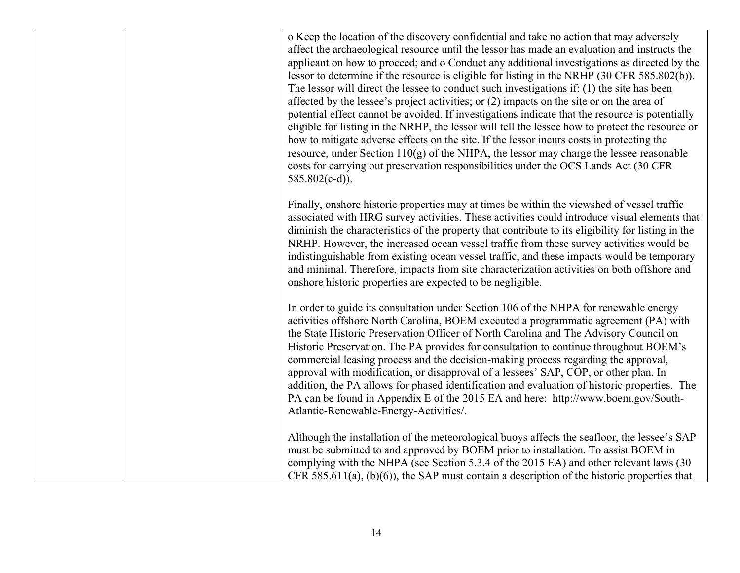o Keep the location of the discovery confidential and take no action that may adversely affect the archaeological resource until the lessor has made an evaluation and instructs the applicant on how to proceed; and o Conduct any additional investigations as directed by the lessor to determine if the resource is eligible for listing in the NRHP (30 CFR 585.802(b)). The lessor will direct the lessee to conduct such investigations if: (1) the site has been affected by the lessee's project activities; or (2) impacts on the site or on the area of potential effect cannot be avoided. If investigations indicate that the resource is potentially eligible for listing in the NRHP, the lessor will tell the lessee how to protect the resource or how to mitigate adverse effects on the site. If the lessor incurs costs in protecting the resource, under Section 110(g) of the NHPA, the lessor may charge the lessee reasonable costs for carrying out preservation responsibilities under the OCS Lands Act (30 CFR 585.802(c-d)).

Finally, onshore historic properties may at times be within the viewshed of vessel traffic associated with HRG survey activities. These activities could introduce visual elements that diminish the characteristics of the property that contribute to its eligibility for listing in the NRHP. However, the increased ocean vessel traffic from these survey activities would be indistinguishable from existing ocean vessel traffic, and these impacts would be temporary and minimal. Therefore, impacts from site characterization activities on both offshore and onshore historic properties are expected to be negligible.

In order to guide its consultation under Section 106 of the NHPA for renewable energy activities offshore North Carolina, BOEM executed a programmatic agreement (PA) with the State Historic Preservation Officer of North Carolina and The Advisory Council on Historic Preservation. The PA provides for consultation to continue throughout BOEM's commercial leasing process and the decision-making process regarding the approval, approval with modification, or disapproval of a lessees' SAP, COP, or other plan. In addition, the PA allows for phased identification and evaluation of historic properties. The PA can be found in Appendix E of the 2015 EA and here: http://www.boem.gov/South-Atlantic-Renewable-Energy-Activities/.

Although the installation of the meteorological buoys affects the seafloor, the lessee's SAP must be submitted to and approved by BOEM prior to installation. To assist BOEM in complying with the NHPA (see Section 5.3.4 of the 2015 EA) and other relevant laws (30 CFR 585.611(a),  $(b)(6)$ , the SAP must contain a description of the historic properties that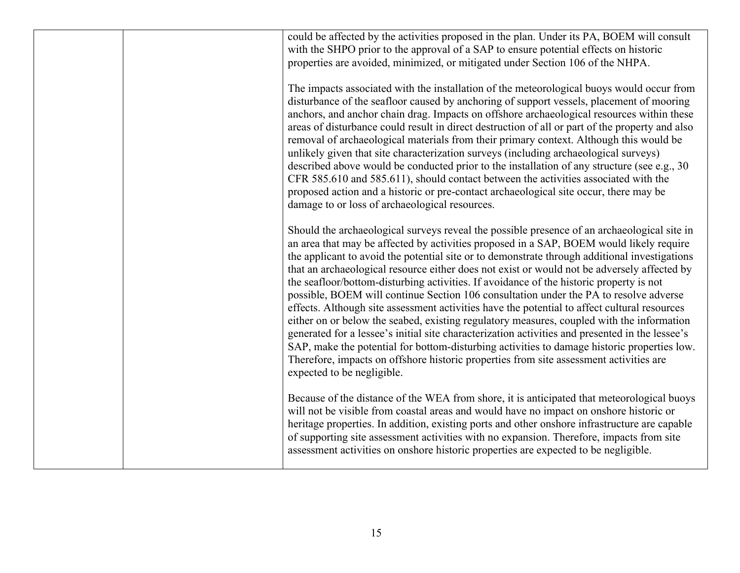| could be affected by the activities proposed in the plan. Under its PA, BOEM will consult<br>with the SHPO prior to the approval of a SAP to ensure potential effects on historic<br>properties are avoided, minimized, or mitigated under Section 106 of the NHPA.                                                                                                                                                                                                                                                                                                                                                                                                                                                                                                                                                                                                                                                                                                                                                                                                                               |
|---------------------------------------------------------------------------------------------------------------------------------------------------------------------------------------------------------------------------------------------------------------------------------------------------------------------------------------------------------------------------------------------------------------------------------------------------------------------------------------------------------------------------------------------------------------------------------------------------------------------------------------------------------------------------------------------------------------------------------------------------------------------------------------------------------------------------------------------------------------------------------------------------------------------------------------------------------------------------------------------------------------------------------------------------------------------------------------------------|
| The impacts associated with the installation of the meteorological buoys would occur from<br>disturbance of the seafloor caused by anchoring of support vessels, placement of mooring<br>anchors, and anchor chain drag. Impacts on offshore archaeological resources within these<br>areas of disturbance could result in direct destruction of all or part of the property and also<br>removal of archaeological materials from their primary context. Although this would be<br>unlikely given that site characterization surveys (including archaeological surveys)<br>described above would be conducted prior to the installation of any structure (see e.g., 30<br>CFR 585.610 and 585.611), should contact between the activities associated with the<br>proposed action and a historic or pre-contact archaeological site occur, there may be<br>damage to or loss of archaeological resources.                                                                                                                                                                                          |
| Should the archaeological surveys reveal the possible presence of an archaeological site in<br>an area that may be affected by activities proposed in a SAP, BOEM would likely require<br>the applicant to avoid the potential site or to demonstrate through additional investigations<br>that an archaeological resource either does not exist or would not be adversely affected by<br>the seafloor/bottom-disturbing activities. If avoidance of the historic property is not<br>possible, BOEM will continue Section 106 consultation under the PA to resolve adverse<br>effects. Although site assessment activities have the potential to affect cultural resources<br>either on or below the seabed, existing regulatory measures, coupled with the information<br>generated for a lessee's initial site characterization activities and presented in the lessee's<br>SAP, make the potential for bottom-disturbing activities to damage historic properties low.<br>Therefore, impacts on offshore historic properties from site assessment activities are<br>expected to be negligible. |
| Because of the distance of the WEA from shore, it is anticipated that meteorological buoys<br>will not be visible from coastal areas and would have no impact on onshore historic or<br>heritage properties. In addition, existing ports and other onshore infrastructure are capable<br>of supporting site assessment activities with no expansion. Therefore, impacts from site<br>assessment activities on onshore historic properties are expected to be negligible.                                                                                                                                                                                                                                                                                                                                                                                                                                                                                                                                                                                                                          |
|                                                                                                                                                                                                                                                                                                                                                                                                                                                                                                                                                                                                                                                                                                                                                                                                                                                                                                                                                                                                                                                                                                   |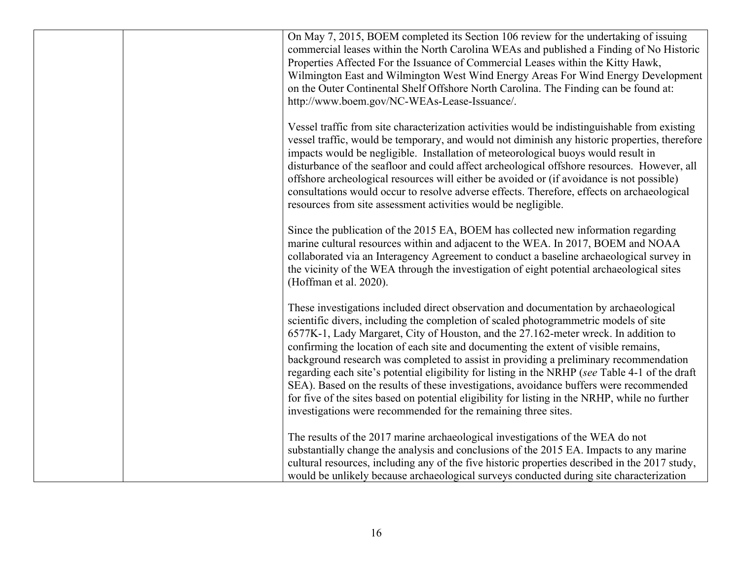| On May 7, 2015, BOEM completed its Section 106 review for the undertaking of issuing<br>commercial leases within the North Carolina WEAs and published a Finding of No Historic<br>Properties Affected For the Issuance of Commercial Leases within the Kitty Hawk,<br>Wilmington East and Wilmington West Wind Energy Areas For Wind Energy Development<br>on the Outer Continental Shelf Offshore North Carolina. The Finding can be found at:<br>http://www.boem.gov/NC-WEAs-Lease-Issuance/.                                                                                                                                                                                                                                                                                                                     |
|----------------------------------------------------------------------------------------------------------------------------------------------------------------------------------------------------------------------------------------------------------------------------------------------------------------------------------------------------------------------------------------------------------------------------------------------------------------------------------------------------------------------------------------------------------------------------------------------------------------------------------------------------------------------------------------------------------------------------------------------------------------------------------------------------------------------|
| Vessel traffic from site characterization activities would be indistinguishable from existing<br>vessel traffic, would be temporary, and would not diminish any historic properties, therefore<br>impacts would be negligible. Installation of meteorological buoys would result in<br>disturbance of the seafloor and could affect archeological offshore resources. However, all<br>offshore archeological resources will either be avoided or (if avoidance is not possible)<br>consultations would occur to resolve adverse effects. Therefore, effects on archaeological<br>resources from site assessment activities would be negligible.                                                                                                                                                                      |
| Since the publication of the 2015 EA, BOEM has collected new information regarding<br>marine cultural resources within and adjacent to the WEA. In 2017, BOEM and NOAA<br>collaborated via an Interagency Agreement to conduct a baseline archaeological survey in<br>the vicinity of the WEA through the investigation of eight potential archaeological sites<br>(Hoffman et al. 2020).                                                                                                                                                                                                                                                                                                                                                                                                                            |
| These investigations included direct observation and documentation by archaeological<br>scientific divers, including the completion of scaled photogrammetric models of site<br>6577K-1, Lady Margaret, City of Houston, and the 27.162-meter wreck. In addition to<br>confirming the location of each site and documenting the extent of visible remains,<br>background research was completed to assist in providing a preliminary recommendation<br>regarding each site's potential eligibility for listing in the NRHP (see Table 4-1 of the draft<br>SEA). Based on the results of these investigations, avoidance buffers were recommended<br>for five of the sites based on potential eligibility for listing in the NRHP, while no further<br>investigations were recommended for the remaining three sites. |
| The results of the 2017 marine archaeological investigations of the WEA do not<br>substantially change the analysis and conclusions of the 2015 EA. Impacts to any marine<br>cultural resources, including any of the five historic properties described in the 2017 study,<br>would be unlikely because archaeological surveys conducted during site characterization                                                                                                                                                                                                                                                                                                                                                                                                                                               |